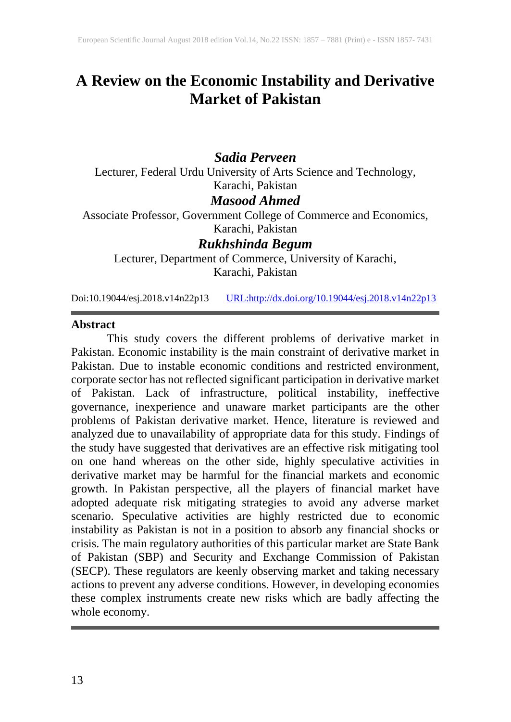# **A Review on the Economic Instability and Derivative Market of Pakistan**

# *Sadia Perveen*

Lecturer, Federal Urdu University of Arts Science and Technology, Karachi, Pakistan

## *Masood Ahmed*

Associate Professor, Government College of Commerce and Economics, Karachi, Pakistan

# *Rukhshinda Begum*

Lecturer, Department of Commerce, University of Karachi, Karachi, Pakistan

Doi:10.19044/esj.2018.v14n22p13 [URL:http://dx.doi.org/10.19044/esj.2018.v14n22p13](http://dx.doi.org/10.19044/esj.2018.v14n22p13)

#### **Abstract**

This study covers the different problems of derivative market in Pakistan. Economic instability is the main constraint of derivative market in Pakistan. Due to instable economic conditions and restricted environment, corporate sector has not reflected significant participation in derivative market of Pakistan. Lack of infrastructure, political instability, ineffective governance, inexperience and unaware market participants are the other problems of Pakistan derivative market. Hence, literature is reviewed and analyzed due to unavailability of appropriate data for this study. Findings of the study have suggested that derivatives are an effective risk mitigating tool on one hand whereas on the other side, highly speculative activities in derivative market may be harmful for the financial markets and economic growth. In Pakistan perspective, all the players of financial market have adopted adequate risk mitigating strategies to avoid any adverse market scenario. Speculative activities are highly restricted due to economic instability as Pakistan is not in a position to absorb any financial shocks or crisis. The main regulatory authorities of this particular market are State Bank of Pakistan (SBP) and Security and Exchange Commission of Pakistan (SECP). These regulators are keenly observing market and taking necessary actions to prevent any adverse conditions. However, in developing economies these complex instruments create new risks which are badly affecting the whole economy.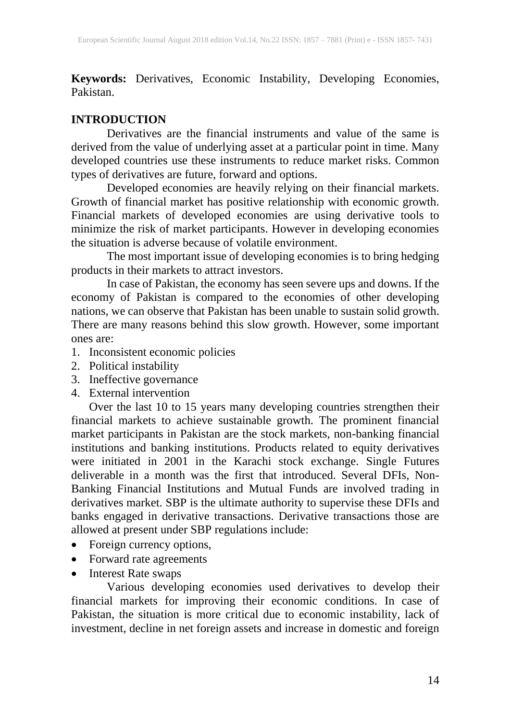**Keywords:** Derivatives, Economic Instability, Developing Economies, Pakistan.

## **INTRODUCTION**

Derivatives are the financial instruments and value of the same is derived from the value of underlying asset at a particular point in time. Many developed countries use these instruments to reduce market risks. Common types of derivatives are future, forward and options.

Developed economies are heavily relying on their financial markets. Growth of financial market has positive relationship with economic growth. Financial markets of developed economies are using derivative tools to minimize the risk of market participants. However in developing economies the situation is adverse because of volatile environment.

The most important issue of developing economies is to bring hedging products in their markets to attract investors.

In case of Pakistan, the economy has seen severe ups and downs. If the economy of Pakistan is compared to the economies of other developing nations, we can observe that Pakistan has been unable to sustain solid growth. There are many reasons behind this slow growth. However, some important ones are:

- 1. Inconsistent economic policies
- 2. Political instability
- 3. Ineffective governance
- 4. External intervention

Over the last 10 to 15 years many developing countries strengthen their financial markets to achieve sustainable growth. The prominent financial market participants in Pakistan are the stock markets, non-banking financial institutions and banking institutions. Products related to equity derivatives were initiated in 2001 in the Karachi stock exchange. Single Futures deliverable in a month was the first that introduced. Several DFIs, Non-Banking Financial Institutions and Mutual Funds are involved trading in derivatives market. SBP is the ultimate authority to supervise these DFIs and banks engaged in derivative transactions. Derivative transactions those are allowed at present under SBP regulations include:

- Foreign currency options,
- Forward rate agreements
- Interest Rate swaps

Various developing economies used derivatives to develop their financial markets for improving their economic conditions. In case of Pakistan, the situation is more critical due to economic instability, lack of investment, decline in net foreign assets and increase in domestic and foreign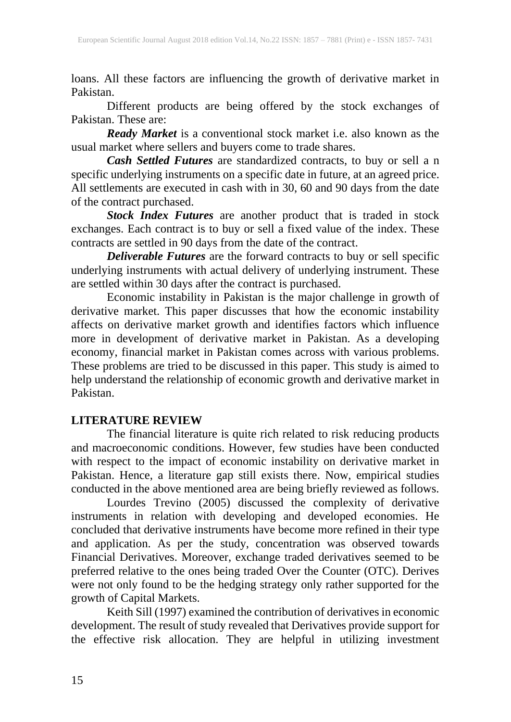loans. All these factors are influencing the growth of derivative market in Pakistan.

Different products are being offered by the stock exchanges of Pakistan. These are:

*Ready Market* is a conventional stock market i.e. also known as the usual market where sellers and buyers come to trade shares.

*Cash Settled Futures* are standardized contracts, to buy or sell a n specific underlying instruments on a specific date in future, at an agreed price. All settlements are executed in cash with in 30, 60 and 90 days from the date of the contract purchased.

*Stock Index Futures* are another product that is traded in stock exchanges. Each contract is to buy or sell a fixed value of the index. These contracts are settled in 90 days from the date of the contract.

*Deliverable Futures* are the forward contracts to buy or sell specific underlying instruments with actual delivery of underlying instrument. These are settled within 30 days after the contract is purchased.

Economic instability in Pakistan is the major challenge in growth of derivative market. This paper discusses that how the economic instability affects on derivative market growth and identifies factors which influence more in development of derivative market in Pakistan. As a developing economy, financial market in Pakistan comes across with various problems. These problems are tried to be discussed in this paper. This study is aimed to help understand the relationship of economic growth and derivative market in Pakistan.

# **LITERATURE REVIEW**

The financial literature is quite rich related to risk reducing products and macroeconomic conditions. However, few studies have been conducted with respect to the impact of economic instability on derivative market in Pakistan. Hence, a literature gap still exists there. Now, empirical studies conducted in the above mentioned area are being briefly reviewed as follows.

Lourdes Trevino (2005) discussed the complexity of derivative instruments in relation with developing and developed economies. He concluded that derivative instruments have become more refined in their type and application. As per the study, concentration was observed towards Financial Derivatives. Moreover, exchange traded derivatives seemed to be preferred relative to the ones being traded Over the Counter (OTC). Derives were not only found to be the hedging strategy only rather supported for the growth of Capital Markets.

Keith Sill (1997) examined the contribution of derivatives in economic development. The result of study revealed that Derivatives provide support for the effective risk allocation. They are helpful in utilizing investment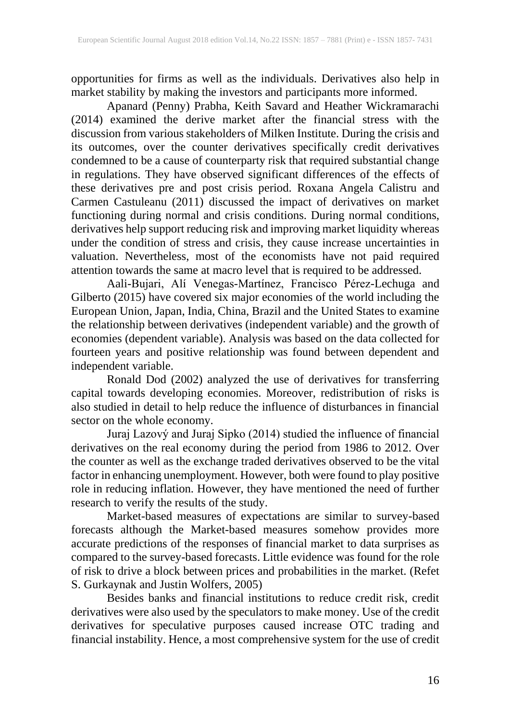opportunities for firms as well as the individuals. Derivatives also help in market stability by making the investors and participants more informed.

Apanard (Penny) Prabha, Keith Savard and Heather Wickramarachi (2014) examined the derive market after the financial stress with the discussion from various stakeholders of Milken Institute. During the crisis and its outcomes, over the counter derivatives specifically credit derivatives condemned to be a cause of counterparty risk that required substantial change in regulations. They have observed significant differences of the effects of these derivatives pre and post crisis period. Roxana Angela Calistru and Carmen Castuleanu (2011) discussed the impact of derivatives on market functioning during normal and crisis conditions. During normal conditions, derivatives help support reducing risk and improving market liquidity whereas under the condition of stress and crisis, they cause increase uncertainties in valuation. Nevertheless, most of the economists have not paid required attention towards the same at macro level that is required to be addressed.

Aali-Bujari, Alí Venegas-Martínez, Francisco Pérez-Lechuga and Gilberto (2015) have covered six major economies of the world including the European Union, Japan, India, China, Brazil and the United States to examine the relationship between derivatives (independent variable) and the growth of economies (dependent variable). Analysis was based on the data collected for fourteen years and positive relationship was found between dependent and independent variable.

Ronald Dod (2002) analyzed the use of derivatives for transferring capital towards developing economies. Moreover, redistribution of risks is also studied in detail to help reduce the influence of disturbances in financial sector on the whole economy.

Juraj Lazový and Juraj Sipko (2014) studied the influence of financial derivatives on the real economy during the period from 1986 to 2012. Over the counter as well as the exchange traded derivatives observed to be the vital factor in enhancing unemployment. However, both were found to play positive role in reducing inflation. However, they have mentioned the need of further research to verify the results of the study.

Market-based measures of expectations are similar to survey-based forecasts although the Market-based measures somehow provides more accurate predictions of the responses of financial market to data surprises as compared to the survey-based forecasts. Little evidence was found for the role of risk to drive a block between prices and probabilities in the market. (Refet S. Gurkaynak and Justin Wolfers, 2005)

Besides banks and financial institutions to reduce credit risk, credit derivatives were also used by the speculators to make money. Use of the credit derivatives for speculative purposes caused increase OTC trading and financial instability. Hence, a most comprehensive system for the use of credit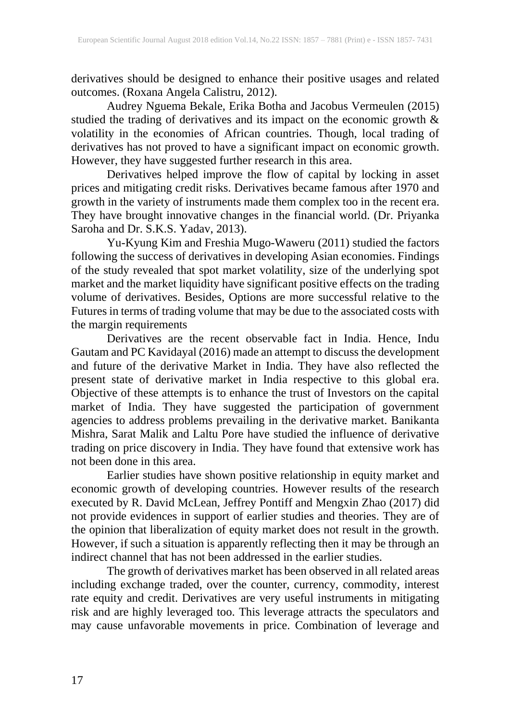derivatives should be designed to enhance their positive usages and related outcomes. (Roxana Angela Calistru, 2012).

Audrey Nguema Bekale, Erika Botha and Jacobus Vermeulen (2015) studied the trading of derivatives and its impact on the economic growth & volatility in the economies of African countries. Though, local trading of derivatives has not proved to have a significant impact on economic growth. However, they have suggested further research in this area.

Derivatives helped improve the flow of capital by locking in asset prices and mitigating credit risks. Derivatives became famous after 1970 and growth in the variety of instruments made them complex too in the recent era. They have brought innovative changes in the financial world. (Dr. Priyanka Saroha and Dr. S.K.S. Yadav, 2013).

Yu-Kyung Kim and Freshia Mugo-Waweru (2011) studied the factors following the success of derivatives in developing Asian economies. Findings of the study revealed that spot market volatility, size of the underlying spot market and the market liquidity have significant positive effects on the trading volume of derivatives. Besides, Options are more successful relative to the Futures in terms of trading volume that may be due to the associated costs with the margin requirements

Derivatives are the recent observable fact in India. Hence, Indu Gautam and PC Kavidayal (2016) made an attempt to discuss the development and future of the derivative Market in India. They have also reflected the present state of derivative market in India respective to this global era. Objective of these attempts is to enhance the trust of Investors on the capital market of India. They have suggested the participation of government agencies to address problems prevailing in the derivative market. Banikanta Mishra, Sarat Malik and Laltu Pore have studied the influence of derivative trading on price discovery in India. They have found that extensive work has not been done in this area.

Earlier studies have shown positive relationship in equity market and economic growth of developing countries. However results of the research executed by R. David McLean, Jeffrey Pontiff and Mengxin Zhao (2017) did not provide evidences in support of earlier studies and theories. They are of the opinion that liberalization of equity market does not result in the growth. However, if such a situation is apparently reflecting then it may be through an indirect channel that has not been addressed in the earlier studies.

The growth of derivatives market has been observed in all related areas including exchange traded, over the counter, currency, commodity, interest rate equity and credit. Derivatives are very useful instruments in mitigating risk and are highly leveraged too. This leverage attracts the speculators and may cause unfavorable movements in price. Combination of leverage and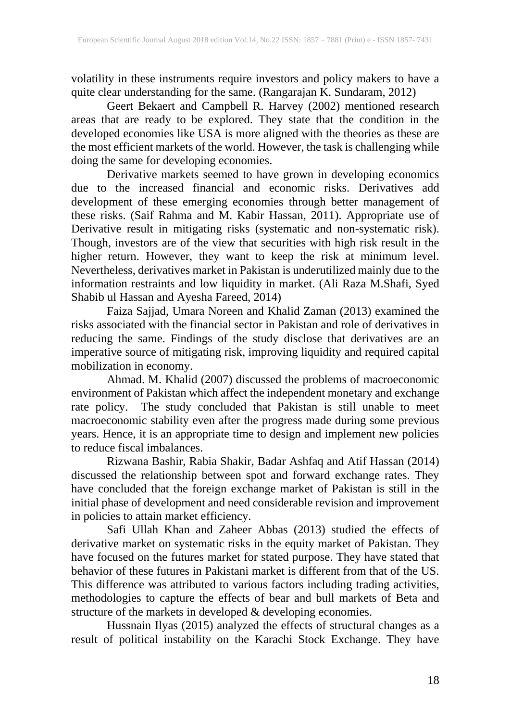volatility in these instruments require investors and policy makers to have a quite clear understanding for the same. (Rangarajan K. Sundaram, 2012)

Geert Bekaert and Campbell R. Harvey (2002) mentioned research areas that are ready to be explored. They state that the condition in the developed economies like USA is more aligned with the theories as these are the most efficient markets of the world. However, the task is challenging while doing the same for developing economies.

Derivative markets seemed to have grown in developing economics due to the increased financial and economic risks. Derivatives add development of these emerging economies through better management of these risks. (Saif Rahma and M. Kabir Hassan, 2011). Appropriate use of Derivative result in mitigating risks (systematic and non-systematic risk). Though, investors are of the view that securities with high risk result in the higher return. However, they want to keep the risk at minimum level. Nevertheless, derivatives market in Pakistan is underutilized mainly due to the information restraints and low liquidity in market. (Ali Raza M.Shafi, Syed Shabib ul Hassan and Ayesha Fareed, 2014)

Faiza Sajjad, Umara Noreen and Khalid Zaman (2013) examined the risks associated with the financial sector in Pakistan and role of derivatives in reducing the same. Findings of the study disclose that derivatives are an imperative source of mitigating risk, improving liquidity and required capital mobilization in economy.

Ahmad. M. Khalid (2007) discussed the problems of macroeconomic environment of Pakistan which affect the independent monetary and exchange rate policy. The study concluded that Pakistan is still unable to meet macroeconomic stability even after the progress made during some previous years. Hence, it is an appropriate time to design and implement new policies to reduce fiscal imbalances.

Rizwana Bashir, Rabia Shakir, Badar Ashfaq and Atif Hassan (2014) discussed the relationship between spot and forward exchange rates. They have concluded that the foreign exchange market of Pakistan is still in the initial phase of development and need considerable revision and improvement in policies to attain market efficiency.

Safi Ullah Khan and Zaheer Abbas (2013) studied the effects of derivative market on systematic risks in the equity market of Pakistan. They have focused on the futures market for stated purpose. They have stated that behavior of these futures in Pakistani market is different from that of the US. This difference was attributed to various factors including trading activities, methodologies to capture the effects of bear and bull markets of Beta and structure of the markets in developed  $\&$  developing economies.

Hussnain Ilyas (2015) analyzed the effects of structural changes as a result of political instability on the Karachi Stock Exchange. They have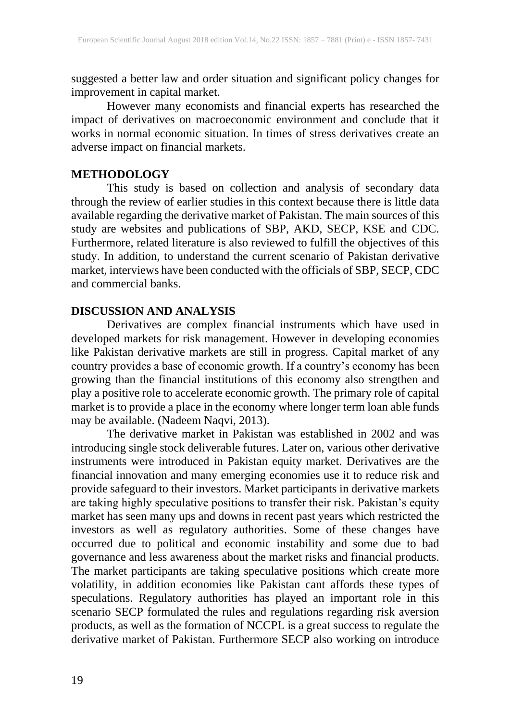suggested a better law and order situation and significant policy changes for improvement in capital market.

However many economists and financial experts has researched the impact of derivatives on macroeconomic environment and conclude that it works in normal economic situation. In times of stress derivatives create an adverse impact on financial markets.

## **METHODOLOGY**

This study is based on collection and analysis of secondary data through the review of earlier studies in this context because there is little data available regarding the derivative market of Pakistan. The main sources of this study are websites and publications of SBP, AKD, SECP, KSE and CDC. Furthermore, related literature is also reviewed to fulfill the objectives of this study. In addition, to understand the current scenario of Pakistan derivative market, interviews have been conducted with the officials of SBP, SECP, CDC and commercial banks.

## **DISCUSSION AND ANALYSIS**

Derivatives are complex financial instruments which have used in developed markets for risk management. However in developing economies like Pakistan derivative markets are still in progress. Capital market of any country provides a base of economic growth. If a country's economy has been growing than the financial institutions of this economy also strengthen and play a positive role to accelerate economic growth. The primary role of capital market is to provide a place in the economy where longer term loan able funds may be available. (Nadeem Naqvi, 2013).

The derivative market in Pakistan was established in 2002 and was introducing single stock deliverable futures. Later on, various other derivative instruments were introduced in Pakistan equity market. Derivatives are the financial innovation and many emerging economies use it to reduce risk and provide safeguard to their investors. Market participants in derivative markets are taking highly speculative positions to transfer their risk. Pakistan's equity market has seen many ups and downs in recent past years which restricted the investors as well as regulatory authorities. Some of these changes have occurred due to political and economic instability and some due to bad governance and less awareness about the market risks and financial products. The market participants are taking speculative positions which create more volatility, in addition economies like Pakistan cant affords these types of speculations. Regulatory authorities has played an important role in this scenario SECP formulated the rules and regulations regarding risk aversion products, as well as the formation of NCCPL is a great success to regulate the derivative market of Pakistan. Furthermore SECP also working on introduce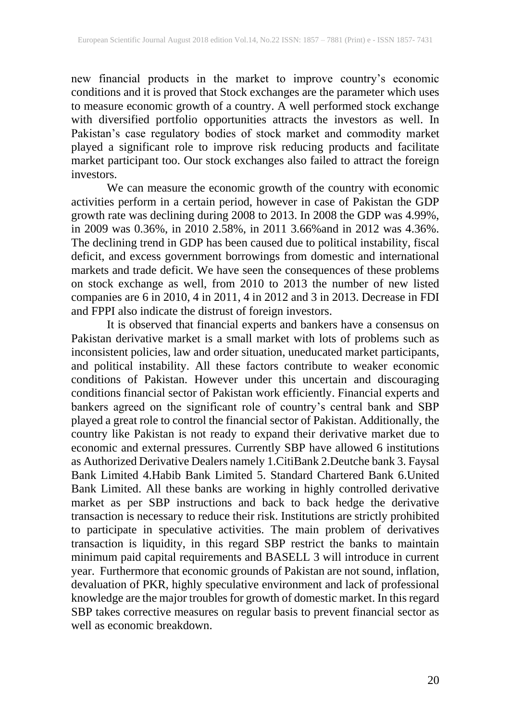new financial products in the market to improve country's economic conditions and it is proved that Stock exchanges are the parameter which uses to measure economic growth of a country. A well performed stock exchange with diversified portfolio opportunities attracts the investors as well. In Pakistan's case regulatory bodies of stock market and commodity market played a significant role to improve risk reducing products and facilitate market participant too. Our stock exchanges also failed to attract the foreign investors.

We can measure the economic growth of the country with economic activities perform in a certain period, however in case of Pakistan the GDP growth rate was declining during 2008 to 2013. In 2008 the GDP was 4.99%, in 2009 was 0.36%, in 2010 2.58%, in 2011 3.66%and in 2012 was 4.36%. The declining trend in GDP has been caused due to political instability, fiscal deficit, and excess government borrowings from domestic and international markets and trade deficit. We have seen the consequences of these problems on stock exchange as well, from 2010 to 2013 the number of new listed companies are 6 in 2010, 4 in 2011, 4 in 2012 and 3 in 2013. Decrease in FDI and FPPI also indicate the distrust of foreign investors.

It is observed that financial experts and bankers have a consensus on Pakistan derivative market is a small market with lots of problems such as inconsistent policies, law and order situation, uneducated market participants, and political instability. All these factors contribute to weaker economic conditions of Pakistan. However under this uncertain and discouraging conditions financial sector of Pakistan work efficiently. Financial experts and bankers agreed on the significant role of country's central bank and SBP played a great role to control the financial sector of Pakistan. Additionally, the country like Pakistan is not ready to expand their derivative market due to economic and external pressures. Currently SBP have allowed 6 institutions as Authorized Derivative Dealers namely 1.CitiBank 2.Deutche bank 3. Faysal Bank Limited 4.Habib Bank Limited 5. Standard Chartered Bank 6.United Bank Limited. All these banks are working in highly controlled derivative market as per SBP instructions and back to back hedge the derivative transaction is necessary to reduce their risk. Institutions are strictly prohibited to participate in speculative activities. The main problem of derivatives transaction is liquidity, in this regard SBP restrict the banks to maintain minimum paid capital requirements and BASELL 3 will introduce in current year. Furthermore that economic grounds of Pakistan are not sound, inflation, devaluation of PKR, highly speculative environment and lack of professional knowledge are the major troubles for growth of domestic market. In this regard SBP takes corrective measures on regular basis to prevent financial sector as well as economic breakdown.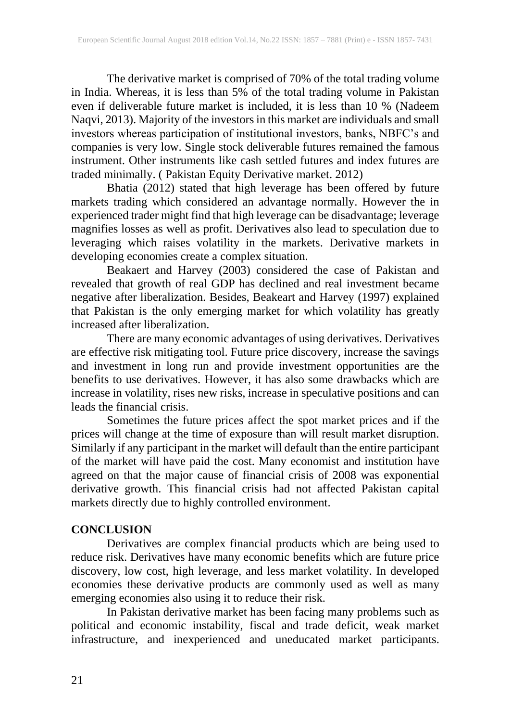The derivative market is comprised of 70% of the total trading volume in India. Whereas, it is less than 5% of the total trading volume in Pakistan even if deliverable future market is included, it is less than 10 % (Nadeem Naqvi, 2013). Majority of the investors in this market are individuals and small investors whereas participation of institutional investors, banks, NBFC's and companies is very low. Single stock deliverable futures remained the famous instrument. Other instruments like cash settled futures and index futures are traded minimally. ( Pakistan Equity Derivative market. 2012)

Bhatia (2012) stated that high leverage has been offered by future markets trading which considered an advantage normally. However the in experienced trader might find that high leverage can be disadvantage; leverage magnifies losses as well as profit. Derivatives also lead to speculation due to leveraging which raises volatility in the markets. Derivative markets in developing economies create a complex situation.

Beakaert and Harvey (2003) considered the case of Pakistan and revealed that growth of real GDP has declined and real investment became negative after liberalization. Besides, Beakeart and Harvey (1997) explained that Pakistan is the only emerging market for which volatility has greatly increased after liberalization.

There are many economic advantages of using derivatives. Derivatives are effective risk mitigating tool. Future price discovery, increase the savings and investment in long run and provide investment opportunities are the benefits to use derivatives. However, it has also some drawbacks which are increase in volatility, rises new risks, increase in speculative positions and can leads the financial crisis.

Sometimes the future prices affect the spot market prices and if the prices will change at the time of exposure than will result market disruption. Similarly if any participant in the market will default than the entire participant of the market will have paid the cost. Many economist and institution have agreed on that the major cause of financial crisis of 2008 was exponential derivative growth. This financial crisis had not affected Pakistan capital markets directly due to highly controlled environment.

#### **CONCLUSION**

Derivatives are complex financial products which are being used to reduce risk. Derivatives have many economic benefits which are future price discovery, low cost, high leverage, and less market volatility. In developed economies these derivative products are commonly used as well as many emerging economies also using it to reduce their risk.

In Pakistan derivative market has been facing many problems such as political and economic instability, fiscal and trade deficit, weak market infrastructure, and inexperienced and uneducated market participants.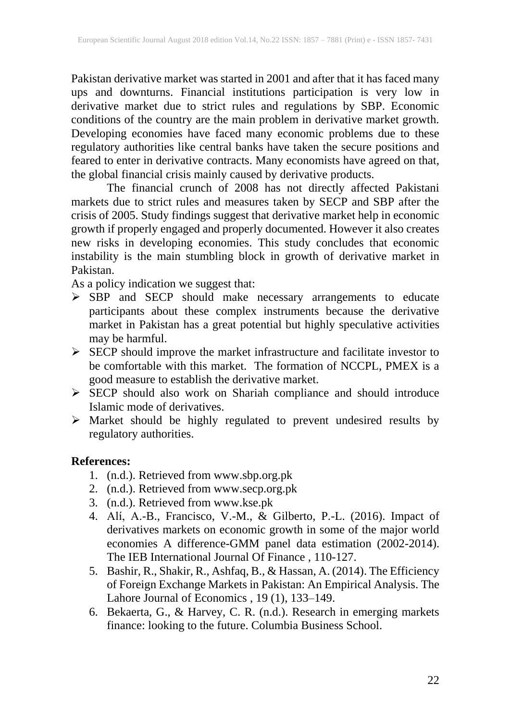Pakistan derivative market was started in 2001 and after that it has faced many ups and downturns. Financial institutions participation is very low in derivative market due to strict rules and regulations by SBP. Economic conditions of the country are the main problem in derivative market growth. Developing economies have faced many economic problems due to these regulatory authorities like central banks have taken the secure positions and feared to enter in derivative contracts. Many economists have agreed on that, the global financial crisis mainly caused by derivative products.

The financial crunch of 2008 has not directly affected Pakistani markets due to strict rules and measures taken by SECP and SBP after the crisis of 2005. Study findings suggest that derivative market help in economic growth if properly engaged and properly documented. However it also creates new risks in developing economies. This study concludes that economic instability is the main stumbling block in growth of derivative market in Pakistan.

As a policy indication we suggest that:

- ➢ SBP and SECP should make necessary arrangements to educate participants about these complex instruments because the derivative market in Pakistan has a great potential but highly speculative activities may be harmful.
- ➢ SECP should improve the market infrastructure and facilitate investor to be comfortable with this market. The formation of NCCPL, PMEX is a good measure to establish the derivative market.
- ➢ SECP should also work on Shariah compliance and should introduce Islamic mode of derivatives.
- ➢ Market should be highly regulated to prevent undesired results by regulatory authorities.

# **References:**

- 1. (n.d.). Retrieved from www.sbp.org.pk
- 2. (n.d.). Retrieved from www.secp.org.pk
- 3. (n.d.). Retrieved from www.kse.pk
- 4. Alí, A.-B., Francisco, V.-M., & Gilberto, P.-L. (2016). Impact of derivatives markets on economic growth in some of the major world economies A difference-GMM panel data estimation (2002-2014). The IEB International Journal Of Finance , 110-127.
- 5. Bashir, R., Shakir, R., Ashfaq, B., & Hassan, A. (2014). The Efficiency of Foreign Exchange Markets in Pakistan: An Empirical Analysis. The Lahore Journal of Economics , 19 (1), 133-149.
- 6. Bekaerta, G., & Harvey, C. R. (n.d.). Research in emerging markets finance: looking to the future. Columbia Business School.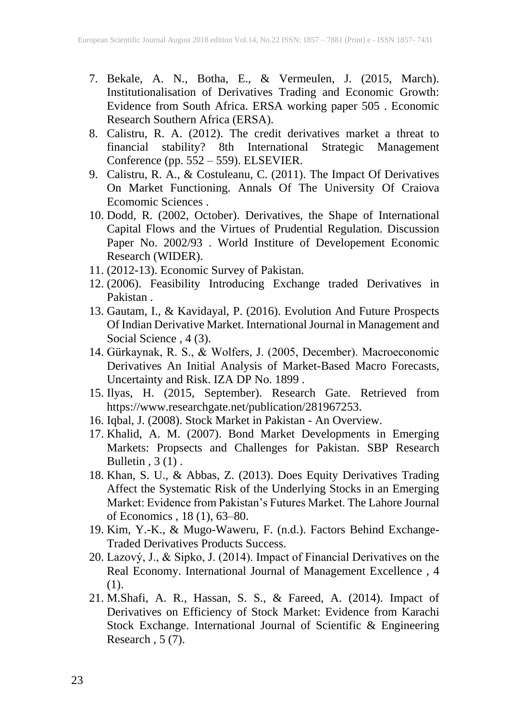- 7. Bekale, A. N., Botha, E., & Vermeulen, J. (2015, March). Institutionalisation of Derivatives Trading and Economic Growth: Evidence from South Africa. ERSA working paper 505 . Economic Research Southern Africa (ERSA).
- 8. Calistru, R. A. (2012). The credit derivatives market a threat to financial stability? 8th International Strategic Management Conference (pp. 552 – 559). ELSEVIER.
- 9. Calistru, R. A., & Costuleanu, C. (2011). The Impact Of Derivatives On Market Functioning. Annals Of The University Of Craiova Ecomomic Sciences .
- 10. Dodd, R. (2002, October). Derivatives, the Shape of International Capital Flows and the Virtues of Prudential Regulation. Discussion Paper No. 2002/93 . World Institure of Developement Economic Research (WIDER).
- 11. (2012-13). Economic Survey of Pakistan.
- 12. (2006). Feasibility Introducing Exchange traded Derivatives in Pakistan .
- 13. Gautam, I., & Kavidayal, P. (2016). Evolution And Future Prospects Of Indian Derivative Market. International Journal in Management and Social Science , 4 (3).
- 14. Gürkaynak, R. S., & Wolfers, J. (2005, December). Macroeconomic Derivatives An Initial Analysis of Market-Based Macro Forecasts, Uncertainty and Risk. IZA DP No. 1899 .
- 15. Ilyas, H. (2015, September). Research Gate. Retrieved from https://www.researchgate.net/publication/281967253.
- 16. Iqbal, J. (2008). Stock Market in Pakistan An Overview.
- 17. Khalid, A. M. (2007). Bond Market Developments in Emerging Markets: Propsects and Challenges for Pakistan. SBP Research Bulletin,  $3(1)$ .
- 18. Khan, S. U., & Abbas, Z. (2013). Does Equity Derivatives Trading Affect the Systematic Risk of the Underlying Stocks in an Emerging Market: Evidence from Pakistan's Futures Market. The Lahore Journal of Economics , 18 (1), 63–80.
- 19. Kim, Y.-K., & Mugo-Waweru, F. (n.d.). Factors Behind Exchange-Traded Derivatives Products Success.
- 20. Lazový, J., & Sipko, J. (2014). Impact of Financial Derivatives on the Real Economy. International Journal of Management Excellence , 4 (1).
- 21. M.Shafi, A. R., Hassan, S. S., & Fareed, A. (2014). Impact of Derivatives on Efficiency of Stock Market: Evidence from Karachi Stock Exchange. International Journal of Scientific & Engineering Research,  $5(7)$ .